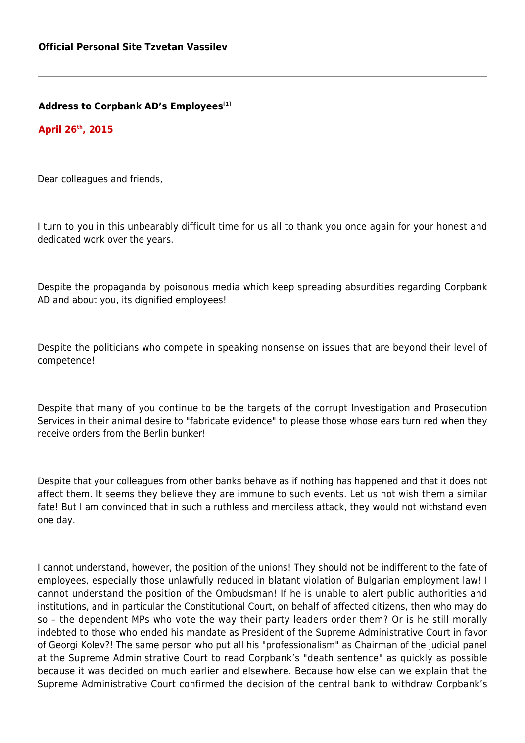**Address to Corpbank AD's Employees[1]**

**April 26th, 2015**

Dear colleagues and friends,

I turn to you in this unbearably difficult time for us all to thank you once again for your honest and dedicated work over the years.

Despite the propaganda by poisonous media which keep spreading absurdities regarding Corpbank AD and about you, its dignified employees!

Despite the politicians who compete in speaking nonsense on issues that are beyond their level of competence!

Despite that many of you continue to be the targets of the corrupt Investigation and Prosecution Services in their animal desire to "fabricate evidence" to please those whose ears turn red when they receive orders from the Berlin bunker!

Despite that your colleagues from other banks behave as if nothing has happened and that it does not affect them. It seems they believe they are immune to such events. Let us not wish them a similar fate! But I am convinced that in such a ruthless and merciless attack, they would not withstand even one day.

I cannot understand, however, the position of the unions! They should not be indifferent to the fate of employees, especially those unlawfully reduced in blatant violation of Bulgarian employment law! I cannot understand the position of the Ombudsman! If he is unable to alert public authorities and institutions, and in particular the Constitutional Court, on behalf of affected citizens, then who may do so – the dependent MPs who vote the way their party leaders order them? Or is he still morally indebted to those who ended his mandate as President of the Supreme Administrative Court in favor of Georgi Kolev?! The same person who put all his "professionalism" as Chairman of the judicial panel at the Supreme Administrative Court to read Corpbank's "death sentence" as quickly as possible because it was decided on much earlier and elsewhere. Because how else can we explain that the Supreme Administrative Court confirmed the decision of the central bank to withdraw Corpbank's